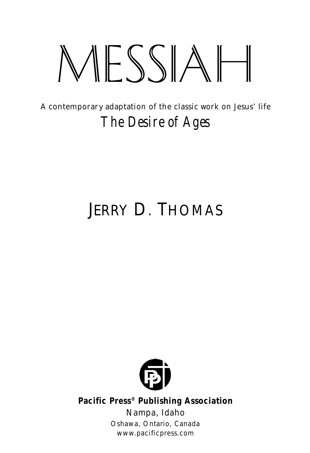# MESSIAH

A contemporary adaptation of the classic work on Jesus' life *The Desire of Ages*

### JERRY D. THOMAS



**Pacific Press® Publishing Association**

Nampa, Idaho Oshawa, Ontario, Canada www.pacificpress.com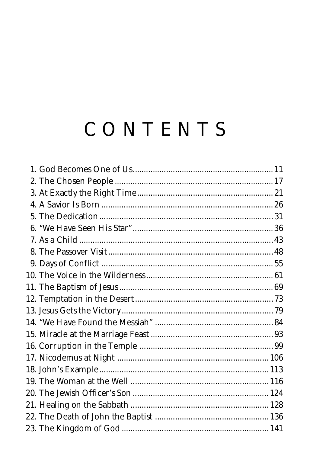## CONTENTS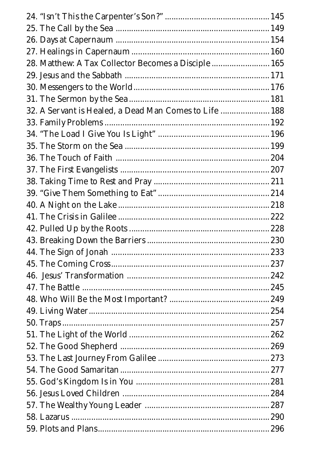| 28. Matthew: A Tax Collector Becomes a Disciple  165   |  |
|--------------------------------------------------------|--|
|                                                        |  |
|                                                        |  |
|                                                        |  |
| 32. A Servant is Healed, a Dead Man Comes to Life  188 |  |
|                                                        |  |
|                                                        |  |
|                                                        |  |
|                                                        |  |
|                                                        |  |
|                                                        |  |
|                                                        |  |
|                                                        |  |
|                                                        |  |
|                                                        |  |
|                                                        |  |
|                                                        |  |
|                                                        |  |
|                                                        |  |
|                                                        |  |
|                                                        |  |
|                                                        |  |
|                                                        |  |
|                                                        |  |
|                                                        |  |
|                                                        |  |
|                                                        |  |
|                                                        |  |
|                                                        |  |
|                                                        |  |
|                                                        |  |
|                                                        |  |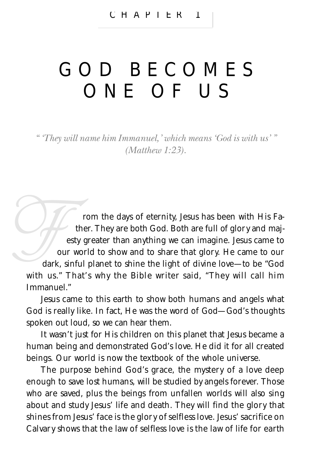## G O D B E C O M E S ONE OF US

" 'They will name him Immanuel,' which means 'God is with us' " (Matthew 1:23).

E rom the days of eternity, Jesus has been with His Father. They are both God. Both are full of glory and majesty greater than anything we can imagine. Jesus came to our world to show and to share that glory. He came to our dark, sinful planet to shine the light of divine love—to be "God with us." That's why the Bible writer said, "They will call him Immanuel."

Jesus came to this earth to show both humans and angels what God is really like. In fact, He was the word of God—God's thoughts spoken out loud, so we can hear them.

It wasn't just for His children on this planet that Jesus became a human being and demonstrated God's love. He did it for all created beings. Our world is now the textbook of the whole universe.

The purpose behind God's grace, the mystery of a love deep enough to save lost humans, will be studied by angels forever. Those who are saved, plus the beings from unfallen worlds will also sing about and study Jesus' life and death. They will find the glory that shines from Jesus' face is the glory of selfless love. Jesus' sacrifice on Calvary shows that the law of selfless love is the law of life for earth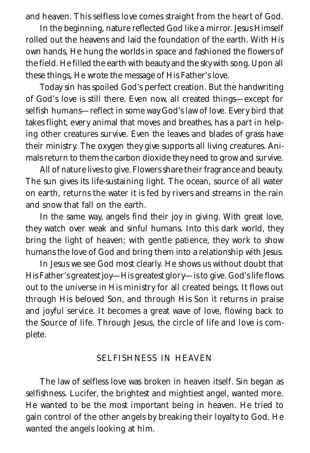and heaven. This selfless love comes straight from the heart of God.

In the beginning, nature reflected God like a mirror. Jesus Himself rolled out the heavens and laid the foundation of the earth. With His own hands, He hung the worlds in space and fashioned the flowers of the field. He filled the earth with beauty and the sky with song. Upon all these things, He wrote the message of His Father's love.

Today sin has spoiled God's perfect creation. But the handwriting of God's love is still there. Even now, all created things—except for selfish humans—reflect in some way God's law of love. Every bird that takes flight, every animal that moves and breathes, has a part in helping other creatures survive. Even the leaves and blades of grass have their ministry. The oxygen they give supports all living creatures. Animals return to them the carbon dioxide they need to grow and survive.

All of nature lives to give. Flowers share their fragrance and beauty. The sun gives its life-sustaining light. The ocean, source of all water on earth, returns the water it is fed by rivers and streams in the rain and snow that fall on the earth.

In the same way, angels find their joy in giving. With great love, they watch over weak and sinful humans. Into this dark world, they bring the light of heaven; with gentle patience, they work to show humans the love of God and bring them into a relationship with Jesus.

In Jesus we see God most clearly. He shows us without doubt that His Father's greatest joy—His greatest glory—is to give. God's life flows out to the universe in His ministry for all created beings. It flows out through His beloved Son, and through His Son it returns in praise and joyful service. It becomes a great wave of love, flowing back to the Source of life. Through Jesus, the circle of life and love is complete.

#### SELFISHNESS IN HEAVEN

The law of selfless love was broken in heaven itself. Sin began as selfishness. Lucifer, the brightest and mightiest angel, wanted more. He wanted to be the most important being in heaven. He tried to gain control of the other angels by breaking their loyalty to God. He wanted the angels looking at him.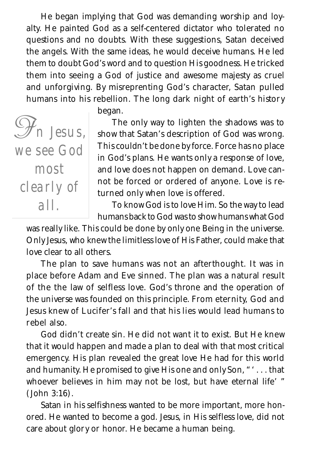He began implying that God was demanding worship and loyalty. He painted God as a self-centered dictator who tolerated no questions and no doubts. With these suggestions, Satan deceived the angels. With the same ideas, he would deceive humans. He led them to doubt God's word and to question His goodness. He tricked them into seeing a God of justice and awesome majesty as cruel and unforgiving. By misreprenting God's character, Satan pulled humans into his rebellion. The long dark night of earth's history

I*n Jesus, we see God most clearly of all.*

began.

The only way to lighten the shadows was to show that Satan's description of God was wrong. This couldn't be done by force. Force has no place in God's plans. He wants only a response of love, and love does not happen on demand. Love cannot be forced or ordered of anyone. Love is returned only when love is offered.

To know God is to love Him. So the way to lead humans back to God was to show humans what God

was really like. This could be done by only one Being in the universe. Only Jesus, who knew the limitless love of His Father, could make that love clear to all others.

The plan to save humans was not an afterthought. It was in place before Adam and Eve sinned. The plan was a natural result of the the law of selfless love. God's throne and the operation of the universe was founded on this principle. From eternity, God and Jesus knew of Lucifer's fall and that his lies would lead humans to rebel also.

God didn't create sin. He did not want it to exist. But He knew that it would happen and made a plan to deal with that most critical emergency. His plan revealed the great love He had for this world and humanity. He promised to give His one and only Son, " ' . . . that whoever believes in him may not be lost, but have eternal life'" (John 3:16).

Satan in his selfishness wanted to be more important, more honored. He wanted to become a god. Jesus, in His selfless love, did not care about glory or honor. He became a human being.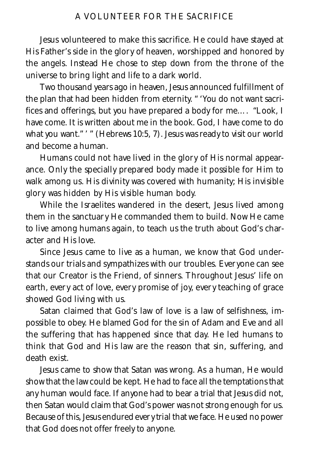Jesus volunteered to make this sacrifice. He could have stayed at His Father's side in the glory of heaven, worshipped and honored by the angels. Instead He chose to step down from the throne of the universe to bring light and life to a dark world.

Two thousand years ago in heaven, Jesus announced fulfillment of the plan that had been hidden from eternity. " 'You do not want sacrifices and offerings, but you have prepared a body for me…. "Look, I have come. It is written about me in the book. God, I have come to do what you want." " (Hebrews 10:5, 7). Jesus was ready to visit our world and become a human.

Humans could not have lived in the glory of His normal appearance. Only the specially prepared body made it possible for Him to walk among us. His divinity was covered with humanity; His invisible glory was hidden by His visible human body.

While the Israelites wandered in the desert, Jesus lived among them in the sanctuary He commanded them to build. Now He came to live among humans again, to teach us the truth about God's character and His love.

Since Jesus came to live as a human, we know that God understands our trials and sympathizes with our troubles. Everyone can see that our Creator is the Friend, of sinners. Throughout Jesus' life on earth, every act of love, every promise of joy, every teaching of grace showed God living with us.

Satan claimed that God's law of love is a law of selfishness, impossible to obey. He blamed God for the sin of Adam and Eve and all the suffering that has happened since that day. He led humans to think that God and His law are the reason that sin, suffering, and death exist.

Jesus came to show that Satan was wrong. As a human, He would show that the law could be kept. He had to face all the temptations that any human would face. If anyone had to bear a trial that Jesus did not, then Satan would claim that God's power was not strong enough for us. Because of this, Jesus endured every trial that we face. He used no power that God does not offer freely to anyone.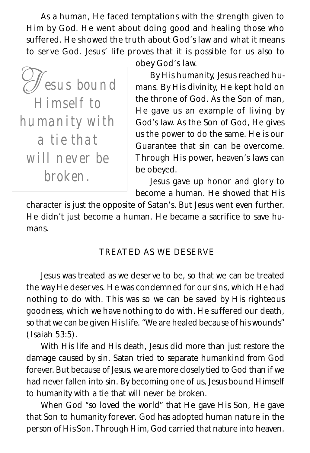As a human, He faced temptations with the strength given to Him by God. He went about doing good and healing those who suffered. He showed the truth about God's law and what it means to serve God. Jesus' life proves that it is possible for us also to

J*esus bound Himself to humanity with a tie that will never be broken.*

obey God's law.

By His humanity, Jesus reached humans. By His divinity, He kept hold on the throne of God. As the Son of man, He gave us an example of living by God's law. As the Son of God, He gives us the power to do the same. He is our Guarantee that sin can be overcome. Through His power, heaven's laws can be obeyed.

Jesus gave up honor and glory to become a human. He showed that His

character is just the opposite of Satan's. But Jesus went even further. He didn't just become a human. He became a sacrifice to save humans.

#### TREATED AS WE DESERVE

Jesus was treated as we deserve to be, so that we can be treated the way He deserves. He was condemned for our sins, which He had nothing to do with. This was so we can be saved by His righteous goodness, which we have nothing to do with. He suffered our death, so that we can be given His life. "We are healed because of his wounds" (Isaiah 53:5).

With His life and His death, Jesus did more than just restore the damage caused by sin. Satan tried to separate humankind from God forever. But because of Jesus, we are more closely tied to God than if we had never fallen into sin. By becoming one of us, Jesus bound Himself to humanity with a tie that will never be broken.

When God "so loved the world" that He gave His Son, He gave that Son to humanity forever. God has adopted human nature in the person of His Son. Through Him, God carried that nature into heaven.